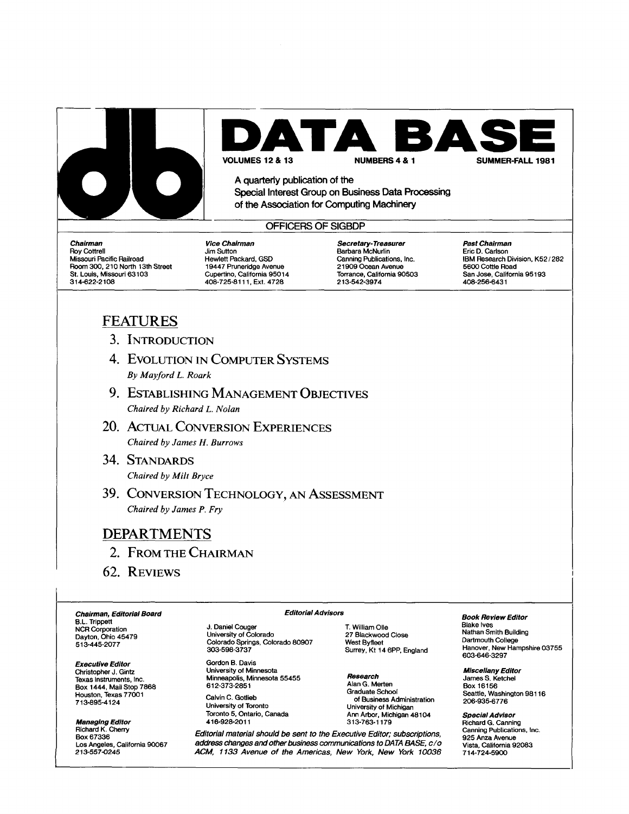

ГА **S E** 

**VOLUMES 12 & 13 NUMBERS 4 & 1** 

**A quarterly publication of the** 

**Special Interest Group on Business Data Processing of the Association for Computing Machinery** 

### **OFFICERS OF SIGBDP**

*Chairman*  Roy Cottrell Missouri Pacific Railroad Room 300, 210 North 13th Street St. Louis, Missouri 63103 314-622-2108

*Vice Chairman*  Jim Sutton Hewlett Packard, GSD 19447 Pruneridge Avenue Cupertino, California 95014 408-725-8111, Ext. 4728

*Secretary- Treasurer*  Barbara McNurlin Canning Publications, Inc. 21909 Ocean Avenue Torrance, California 90503 213-542-3974

*Past Chairman*  Eric D. Carlson IBM Research Division, K52/282 5600 Cottle Road San Jose, California 95193 408-256-6431

## **FEATURES**

- **3. INTRODUCTION**
- 4. EVOLUTION IN COMPUTER SYSTEMS *By Mayford L. Roark*
- **9.** ESTABLISHING MANAGEMENT OBJECTIVES *Chaired by Richard L. Nolan*
- 20. ACTUAL CONVERSION EXPERIENCES *Chaired by James H. Burrows*
- **34. STANDARDS**  *Chaired by Milt Bryce*
- 39. CONVERSION TECHNOLOGY, AN ASSESSMENT *Chaired by James P. Fry*

### **DEPARTMENTS**

- **2. FROM THE CHAIRMAN**
- **62. REVIEWS**

*Chairman, Editorial Board*  B.L. Trippett NCR Corporation Dayton, Ohio 45479 513-445-2077

*Executive Editor*  Christopher J. Gintz Texas Instruments, Inc. Box 1444, Mail Stop 7868 Houston, Texas 77001 713-695-4124

*Managing Editor*  Richard K. Cherry Box 67336 Los Angeles, California 90067 *213-557-0245* 

J. Daniel Couger University of Colorado Colorado Springs, Colorado 80907

Gordon B. Davis University of Minnesota Minneapolis, Minnesota 55455 612-373-2851 Calvin C. Gotlieb University of Toronto Toronto 5, Ontario, Canada 416-928-2011

303-598-3737

T. William Olle 27 Blackwood Close West Byfleet Surrey, Kt 14 6PP, England

*Research*  Alan G. Merten Graduate School of Business Administration University of Michigan Ann Arbor, Michigan 48104 313-763-1179

*Editorial material should be sent to the Executive Editor; subscriptions, address changes and other business communications to DATA BASE, c/0 ACM, 1133 Avenue of the Americas, New York, New York 10036* 

*Editorial Advisors* 

*Book Review Editor* 

Blake Ives Nathan Smith Building Dartmouth College Hanover, New Hampshire 03755<br>603-646-3297

*Miscellany Editor*  James S. Ketchel Box 16156 Seattle, Washington 98116 206-935-6776

*Special Advisor*  Richard G. Canning Canning Publications, Inc. 925 Anza Avenue Vista, California 92083 714-724-5900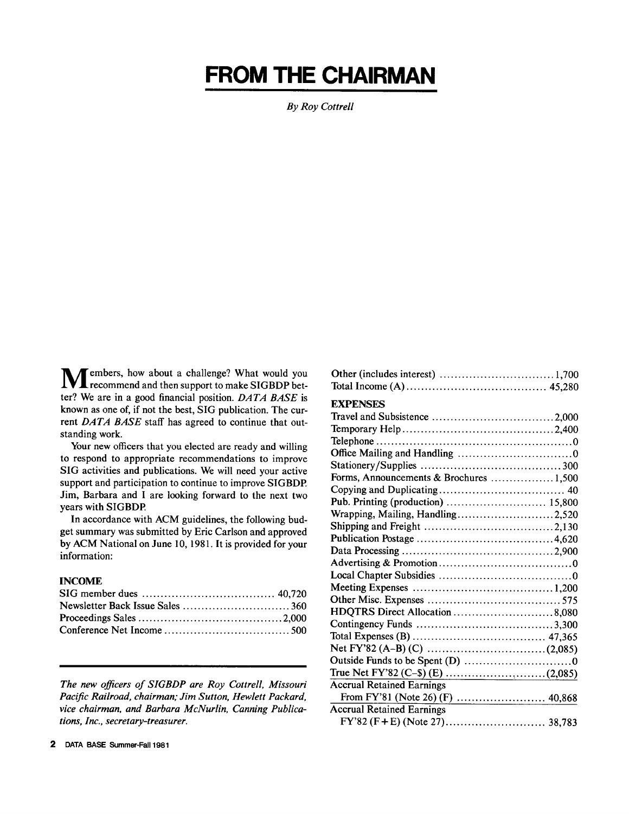## **FROM THE CHAIRMAN**

*ByRoy Cottrell* 

**M** embers, how about a challenge? What would you recommend and then support to make SIGBDP better? We are in a good financial position. *DATA BASE* is known as one of, if not the best, SIG publication. The current *DATA BASE* staff has agreed to continue that outstanding work.

Your new officers that you elected are ready and willing to respond to appropriate recommendations to improve SIG activities and publications. We will need your active support and participation to continue to improve SIGBDP. Jim, Barbara and I are looking forward to the next two years with SIGBDP.

In accordance with ACM guidelines, the following budget summary was submitted by Eric Carlson and approved by ACM National on June 10, 1981. It is provided for your information:

#### INCOME

*The new officers of SIGBDP are Roy Cottrell, Missouri Pacific Railroad, chairman; Jim Sutton, Hewlett Packard, vice chairman, and Barbara McNurlin, Canning Publications, Inc., secretary-treasurer.* 

| <b>EXPENSES</b>                         |  |
|-----------------------------------------|--|
|                                         |  |
|                                         |  |
|                                         |  |
|                                         |  |
|                                         |  |
| Forms, Announcements & Brochures  1,500 |  |
|                                         |  |
|                                         |  |
| Wrapping, Mailing, Handling2,520        |  |
|                                         |  |
|                                         |  |
|                                         |  |
|                                         |  |
|                                         |  |
|                                         |  |
|                                         |  |
| HDQTRS Direct Allocation 8,080          |  |
|                                         |  |
|                                         |  |
|                                         |  |
|                                         |  |
|                                         |  |
| <b>Accrual Retained Earnings</b>        |  |
|                                         |  |
| <b>Accrual Retained Earnings</b>        |  |
|                                         |  |